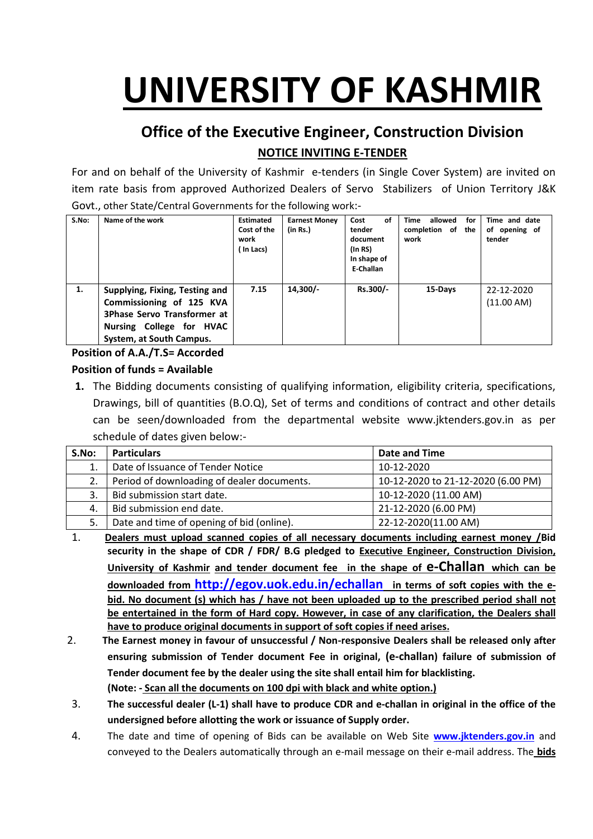# **UNIVERSITY OF KASHMIR**

## **Office of the Executive Engineer, Construction Division NOTICE INVITING E-TENDER**

For and on behalf of the University of Kashmir e-tenders (in Single Cover System) are invited on item rate basis from approved Authorized Dealers of Servo Stabilizers of Union Territory J&K Govt., other State/Central Governments for the following work:-

| S.No: | Name of the work                                                                                                                                         | <b>Estimated</b><br>Cost of the<br>work<br>ln Lacs) | <b>Earnest Money</b><br>(in Rs.) | Cost<br>οf<br>tender<br>document<br>(In RS)<br>In shape of<br>E-Challan | allowed<br>Time<br>for<br>completion of the<br>work | Time and date<br>of opening of<br>tender |
|-------|----------------------------------------------------------------------------------------------------------------------------------------------------------|-----------------------------------------------------|----------------------------------|-------------------------------------------------------------------------|-----------------------------------------------------|------------------------------------------|
| 1.    | Supplying, Fixing, Testing and<br>Commissioning of 125 KVA<br><b>3Phase Servo Transformer at</b><br>Nursing College for HVAC<br>System, at South Campus. | 7.15                                                | $14,300/-$                       | Rs.300/-                                                                | 15-Days                                             | 22-12-2020<br>(11.00 AM)                 |

#### **Position of A.A./T.S= Accorded**

#### **Position of funds = Available**

**1.** The Bidding documents consisting of qualifying information, eligibility criteria, specifications, Drawings, bill of quantities (B.O.Q), Set of terms and conditions of contract and other details can be seen/downloaded from the departmental website www.jktenders.gov.in as per schedule of dates given below:-

| S.No: | <b>Particulars</b>                         | Date and Time                      |
|-------|--------------------------------------------|------------------------------------|
| 1.    | Date of Issuance of Tender Notice          | 10-12-2020                         |
|       | Period of downloading of dealer documents. | 10-12-2020 to 21-12-2020 (6.00 PM) |
|       | Bid submission start date.                 | 10-12-2020 (11.00 AM)              |
| 4.    | Bid submission end date.                   | 21-12-2020 (6.00 PM)               |
| 5.    | Date and time of opening of bid (online).  | 22-12-2020(11.00 AM)               |

- 1. **Dealers must upload scanned copies of all necessary documents including earnest money /Bid security in the shape of CDR / FDR/ B.G pledged to Executive Engineer, Construction Division, University of Kashmir and tender document fee in the shape of e-Challan which can be downloaded from <http://egov.uok.edu.in/echallan> in terms of soft copies with the ebid. No document (s) which has / have not been uploaded up to the prescribed period shall not be entertained in the form of Hard copy. However, in case of any clarification, the Dealers shall have to produce original documents in support of soft copies if need arises.**
- 2. **The Earnest money in favour of unsuccessful / Non-responsive Dealers shall be released only after ensuring submission of Tender document Fee in original, (e-challan) failure of submission of Tender document fee by the dealer using the site shall entail him for blacklisting. (Note: - Scan all the documents on 100 dpi with black and white option.)**
- 3. **The successful dealer (L-1) shall have to produce CDR and e-challan in original in the office of the undersigned before allotting the work or issuance of Supply order.**
- 4. The date and time of opening of Bids can be available on Web Site **[www.jktenders.gov.in](http://www.pmgsytendersjk.gov.in/)** and conveyed to the Dealers automatically through an e-mail message on their e-mail address. The **bids**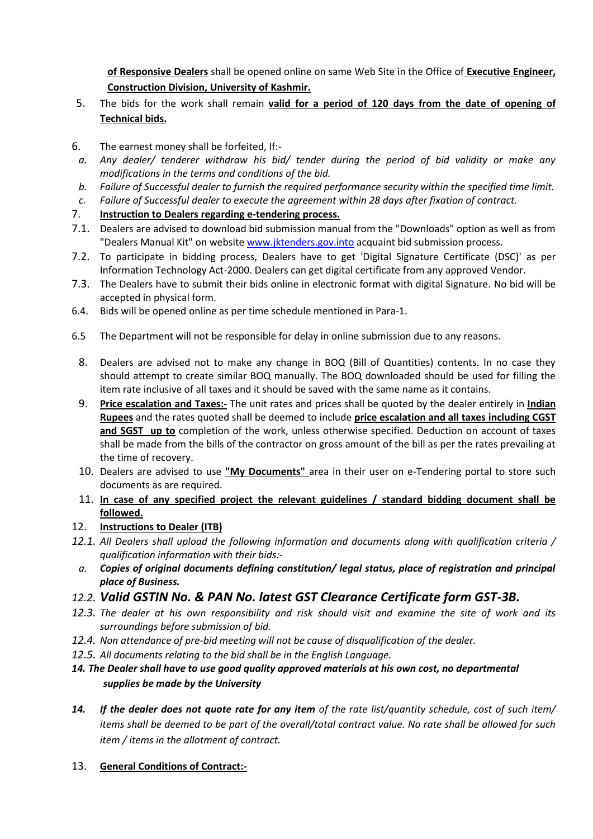**of Responsive Dealers** shall be opened online on same Web Site in the Office of **Executive Engineer, Construction Division, University of Kashmir.**

- 5. The bids for the work shall remain **valid for a period of 120 days from the date of opening of Technical bids.**
- 6. The earnest money shall be forfeited, If:-
- *a. Any dealer/ tenderer withdraw his bid/ tender during the period of bid validity or make any modifications in the terms and conditions of the bid.*
- *b. Failure of Successful dealer to furnish the required performance security within the specified time limit.*
- *c. Failure of Successful dealer to execute the agreement within 28 days after fixation of contract.*
- 7. **Instruction to Dealers regarding e-tendering process.**
- 7.1. Dealers are advised to download bid submission manual from the "Downloads" option as well as from "Dealers Manual Kit" on website [www.jktenders.gov.into](http://www.pmgsytendersjk.gov.into/) acquaint bid submission process.
- 7.2. To participate in bidding process, Dealers have to get 'Digital Signature Certificate (DSC)' as per Information Technology Act-2000. Dealers can get digital certificate from any approved Vendor.
- 7.3. The Dealers have to submit their bids online in electronic format with digital Signature. No bid will be accepted in physical form.
- 6.4. Bids will be opened online as per time schedule mentioned in Para-1.
- 6.5 The Department will not be responsible for delay in online submission due to any reasons.
	- 8. Dealers are advised not to make any change in BOQ (Bill of Quantities) contents. In no case they should attempt to create similar BOQ manually. The BOQ downloaded should be used for filling the item rate inclusive of all taxes and it should be saved with the same name as it contains.
	- 9. **Price escalation and Taxes:-** The unit rates and prices shall be quoted by the dealer entirely in **Indian Rupees** and the rates quoted shall be deemed to include **price escalation and all taxes including CGST and SGST up to** completion of the work, unless otherwise specified. Deduction on account of taxes shall be made from the bills of the contractor on gross amount of the bill as per the rates prevailing at the time of recovery.
	- 10. Dealers are advised to use **"My Documents"** area in their user on e-Tendering portal to store such documents as are required.
	- 11. **In case of any specified project the relevant guidelines / standard bidding document shall be followed.**
- 12. **Instructions to Dealer (ITB)**
- *12.1. All Dealers shall upload the following information and documents along with qualification criteria / qualification information with their bids:-*
- *a. Copies of original documents defining constitution/ legal status, place of registration and principal place of Business.*
- *12.2. Valid GSTIN No. & PAN No. latest GST Clearance Certificate form GST-3B.*
- *12.3. The dealer at his own responsibility and risk should visit and examine the site of work and its surroundings before submission of bid.*
- *12.4. Non attendance of pre-bid meeting will not be cause of disqualification of the dealer.*
- *12.5. All documents relating to the bid shall be in the English Language.*
- *14. The Dealer shall have to use good quality approved materials at his own cost, no departmental supplies be made by the University*
- *14. If the dealer does not quote rate for any item of the rate list/quantity schedule, cost of such item/ items shall be deemed to be part of the overall/total contract value. No rate shall be allowed for such item / items in the allotment of contract.*
- 13. **General Conditions of Contract:-**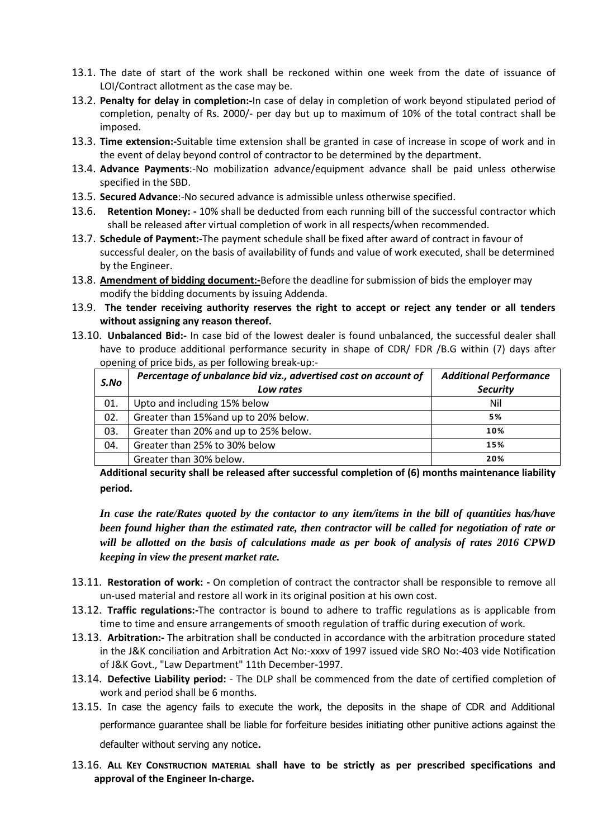- 13.1. The date of start of the work shall be reckoned within one week from the date of issuance of LOI/Contract allotment as the case may be.
- 13.2. **Penalty for delay in completion:-**In case of delay in completion of work beyond stipulated period of completion, penalty of Rs. 2000/- per day but up to maximum of 10% of the total contract shall be imposed.
- 13.3. **Time extension:-**Suitable time extension shall be granted in case of increase in scope of work and in the event of delay beyond control of contractor to be determined by the department.
- 13.4. **Advance Payments**:-No mobilization advance/equipment advance shall be paid unless otherwise specified in the SBD.
- 13.5. **Secured Advance**:-No secured advance is admissible unless otherwise specified.
- 13.6. **Retention Money: -** 10% shall be deducted from each running bill of the successful contractor which shall be released after virtual completion of work in all respects/when recommended.
- 13.7. **Schedule of Payment:-**The payment schedule shall be fixed after award of contract in favour of successful dealer, on the basis of availability of funds and value of work executed, shall be determined by the Engineer.
- 13.8. **Amendment of bidding document:-**Before the deadline for submission of bids the employer may modify the bidding documents by issuing Addenda.
- 13.9. **The tender receiving authority reserves the right to accept or reject any tender or all tenders without assigning any reason thereof.**
- 13.10. **Unbalanced Bid:-** In case bid of the lowest dealer is found unbalanced, the successful dealer shall have to produce additional performance security in shape of CDR/ FDR /B.G within (7) days after opening of price bids, as per following break-up:-

| S.No | Percentage of unbalance bid viz., advertised cost on account of<br>Low rates | <b>Additional Performance</b><br><b>Security</b> |
|------|------------------------------------------------------------------------------|--------------------------------------------------|
| 01.  | Upto and including 15% below                                                 | Nil                                              |
| 02.  | Greater than 15% and up to 20% below.                                        | 5%                                               |
| 03.  | Greater than 20% and up to 25% below.                                        | 10%                                              |
| 04.  | Greater than 25% to 30% below                                                | 15%                                              |
|      | Greater than 30% below.                                                      | 20%                                              |

**Additional security shall be released after successful completion of (6) months maintenance liability period.**

*In case the rate/Rates quoted by the contactor to any item/items in the bill of quantities has/have been found higher than the estimated rate, then contractor will be called for negotiation of rate or will be allotted on the basis of calculations made as per book of analysis of rates 2016 CPWD keeping in view the present market rate.* 

- 13.11. **Restoration of work: -** On completion of contract the contractor shall be responsible to remove all un-used material and restore all work in its original position at his own cost.
- 13.12. **Traffic regulations:-**The contractor is bound to adhere to traffic regulations as is applicable from time to time and ensure arrangements of smooth regulation of traffic during execution of work.
- 13.13. **Arbitration:-** The arbitration shall be conducted in accordance with the arbitration procedure stated in the J&K conciliation and Arbitration Act No:-xxxv of 1997 issued vide SRO No:-403 vide Notification of J&K Govt., "Law Department" 11th December-1997.
- 13.14. **Defective Liability period:** The DLP shall be commenced from the date of certified completion of work and period shall be 6 months.
- 13.15. In case the agency fails to execute the work, the deposits in the shape of CDR and Additional performance guarantee shall be liable for forfeiture besides initiating other punitive actions against the defaulter without serving any notice.
- 13.16. **ALL KEY CONSTRUCTION MATERIAL shall have to be strictly as per prescribed specifications and approval of the Engineer In-charge.**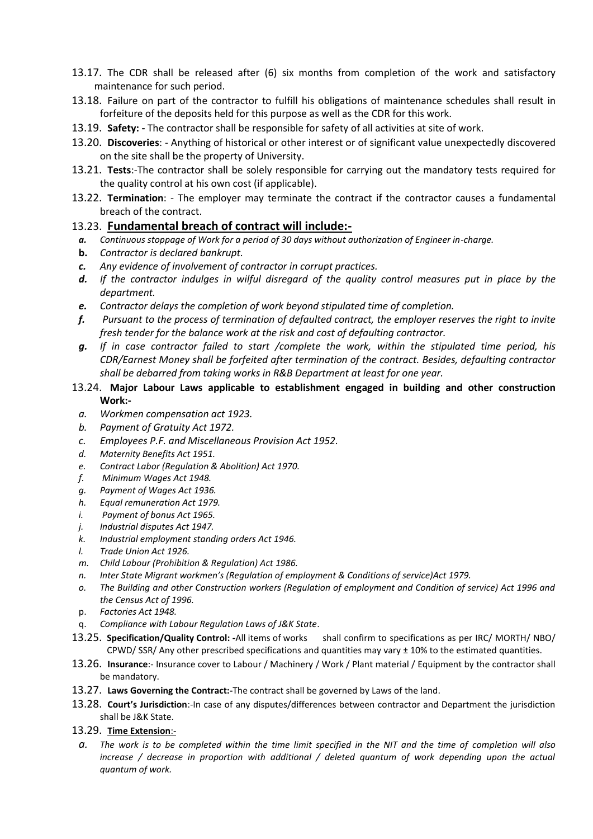- 13.17. The CDR shall be released after (6) six months from completion of the work and satisfactory maintenance for such period.
- 13.18. Failure on part of the contractor to fulfill his obligations of maintenance schedules shall result in forfeiture of the deposits held for this purpose as well as the CDR for this work.
- 13.19. **Safety: -** The contractor shall be responsible for safety of all activities at site of work.
- 13.20. **Discoveries**: Anything of historical or other interest or of significant value unexpectedly discovered on the site shall be the property of University.
- 13.21. **Tests**:-The contractor shall be solely responsible for carrying out the mandatory tests required for the quality control at his own cost (if applicable).
- 13.22. **Termination**: The employer may terminate the contract if the contractor causes a fundamental breach of the contract.

#### 13.23. **Fundamental breach of contract will include:-**

- *a. Continuous stoppage of Work for a period of 30 days without authorization of Engineer in-charge.*
- **b.** *Contractor is declared bankrupt.*
- *c. Any evidence of involvement of contractor in corrupt practices.*
- *d. If the contractor indulges in wilful disregard of the quality control measures put in place by the department.*
- *e. Contractor delays the completion of work beyond stipulated time of completion.*
- *f. Pursuant to the process of termination of defaulted contract, the employer reserves the right to invite fresh tender for the balance work at the risk and cost of defaulting contractor.*
- *g. If in case contractor failed to start /complete the work, within the stipulated time period, his CDR/Earnest Money shall be forfeited after termination of the contract. Besides, defaulting contractor shall be debarred from taking works in R&B Department at least for one year.*
- 13.24. **Major Labour Laws applicable to establishment engaged in building and other construction Work:**
	- *a. Workmen compensation act 1923.*
	- *b. Payment of Gratuity Act 1972.*
	- *c. Employees P.F. and Miscellaneous Provision Act 1952.*
	- *d. Maternity Benefits Act 1951.*
	- *e. Contract Labor (Regulation & Abolition) Act 1970.*
- *f. Minimum Wages Act 1948.*
- *g. Payment of Wages Act 1936.*
- *h. Equal remuneration Act 1979.*
- *i. Payment of bonus Act 1965.*
- *j. Industrial disputes Act 1947.*
- *k. Industrial employment standing orders Act 1946.*
- *l. Trade Union Act 1926.*
- *m. Child Labour (Prohibition & Regulation) Act 1986.*
- *n. Inter State Migrant workmen's (Regulation of employment & Conditions of service)Act 1979.*
- *o. The Building and other Construction workers (Regulation of employment and Condition of service) Act 1996 and the Census Act of 1996.*
- p. *Factories Act 1948.*
- q. *Compliance with Labour Regulation Laws of J&K State*.
- 13.25. **Specification/Quality Control: -**All items of works shall confirm to specifications as per IRC/ MORTH/ NBO/ CPWD/ SSR/ Any other prescribed specifications and quantities may vary  $\pm$  10% to the estimated quantities.
- 13.26. **Insurance**:- Insurance cover to Labour / Machinery / Work / Plant material / Equipment by the contractor shall be mandatory.
- 13.27. **Laws Governing the Contract:-**The contract shall be governed by Laws of the land.
- 13.28. **Court's Jurisdiction**:-In case of any disputes/differences between contractor and Department the jurisdiction shall be J&K State.
- 13.29. **Time Extension**:
	- *a. The work is to be completed within the time limit specified in the NIT and the time of completion will also increase / decrease in proportion with additional / deleted quantum of work depending upon the actual quantum of work.*